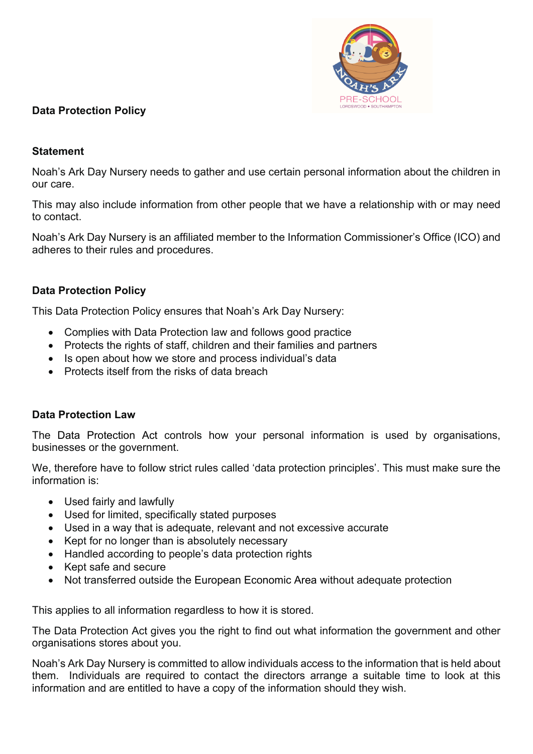

# **Data Protection Policy**

## **Statement**

Noah's Ark Day Nursery needs to gather and use certain personal information about the children in our care.

This may also include information from other people that we have a relationship with or may need to contact.

Noah's Ark Day Nursery is an affiliated member to the Information Commissioner's Office (ICO) and adheres to their rules and procedures.

### **Data Protection Policy**

This Data Protection Policy ensures that Noah's Ark Day Nursery:

- Complies with Data Protection law and follows good practice
- Protects the rights of staff, children and their families and partners
- Is open about how we store and process individual's data
- Protects itself from the risks of data breach

#### **Data Protection Law**

The Data Protection Act controls how your personal information is used by organisations, businesses or the government.

We, therefore have to follow strict rules called 'data protection principles'. This must make sure the information is:

- Used fairly and lawfully
- Used for limited, specifically stated purposes
- Used in a way that is adequate, relevant and not excessive accurate
- Kept for no longer than is absolutely necessary
- Handled according to people's data protection rights
- Kept safe and secure
- Not transferred outside the European Economic Area without adequate protection

This applies to all information regardless to how it is stored.

The Data Protection Act gives you the right to find out what information the government and other organisations stores about you.

Noah's Ark Day Nursery is committed to allow individuals access to the information that is held about them. Individuals are required to contact the directors arrange a suitable time to look at this information and are entitled to have a copy of the information should they wish.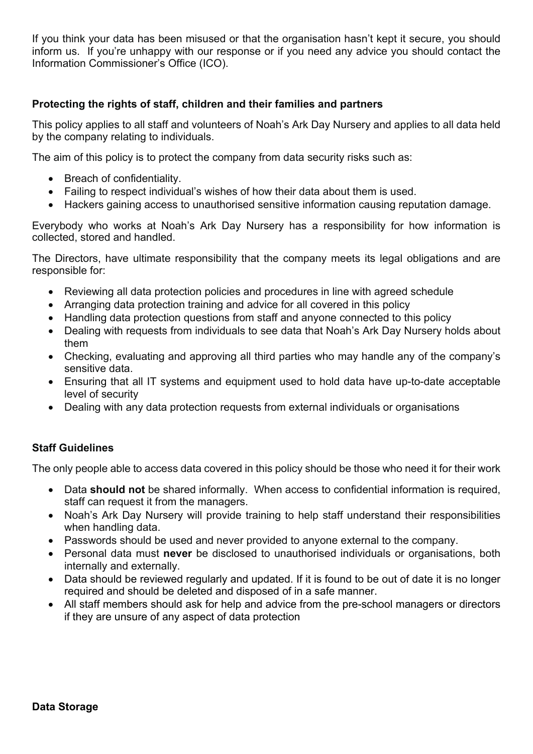If you think your data has been misused or that the organisation hasn't kept it secure, you should inform us. If you're unhappy with our response or if you need any advice you should contact the Information Commissioner's Office (ICO).

## **Protecting the rights of staff, children and their families and partners**

This policy applies to all staff and volunteers of Noah's Ark Day Nursery and applies to all data held by the company relating to individuals.

The aim of this policy is to protect the company from data security risks such as:

- Breach of confidentiality.
- Failing to respect individual's wishes of how their data about them is used.
- Hackers gaining access to unauthorised sensitive information causing reputation damage.

Everybody who works at Noah's Ark Day Nursery has a responsibility for how information is collected, stored and handled.

The Directors, have ultimate responsibility that the company meets its legal obligations and are responsible for:

- Reviewing all data protection policies and procedures in line with agreed schedule
- Arranging data protection training and advice for all covered in this policy
- Handling data protection questions from staff and anyone connected to this policy
- Dealing with requests from individuals to see data that Noah's Ark Day Nursery holds about them
- Checking, evaluating and approving all third parties who may handle any of the company's sensitive data.
- Ensuring that all IT systems and equipment used to hold data have up-to-date acceptable level of security
- Dealing with any data protection requests from external individuals or organisations

# **Staff Guidelines**

The only people able to access data covered in this policy should be those who need it for their work

- Data **should not** be shared informally. When access to confidential information is required, staff can request it from the managers.
- Noah's Ark Day Nursery will provide training to help staff understand their responsibilities when handling data.
- Passwords should be used and never provided to anyone external to the company.
- Personal data must **never** be disclosed to unauthorised individuals or organisations, both internally and externally.
- Data should be reviewed regularly and updated. If it is found to be out of date it is no longer required and should be deleted and disposed of in a safe manner.
- All staff members should ask for help and advice from the pre-school managers or directors if they are unsure of any aspect of data protection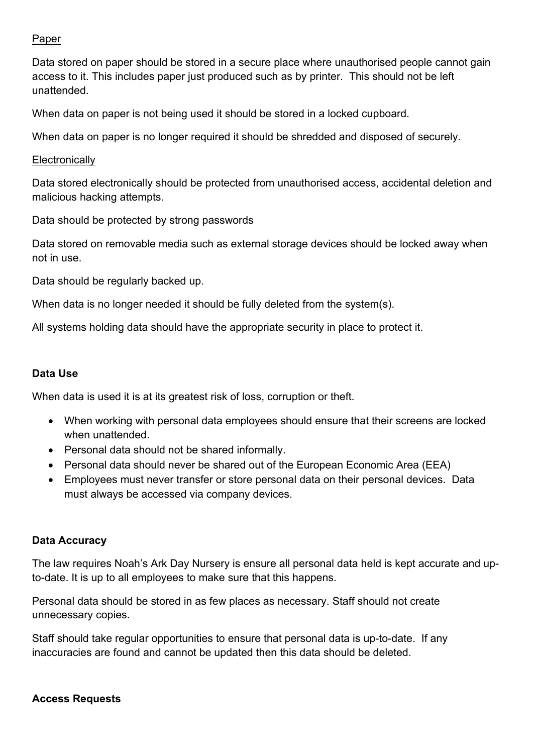## Paper

Data stored on paper should be stored in a secure place where unauthorised people cannot gain access to it. This includes paper just produced such as by printer. This should not be left unattended.

When data on paper is not being used it should be stored in a locked cupboard.

When data on paper is no longer required it should be shredded and disposed of securely.

#### **Electronically**

Data stored electronically should be protected from unauthorised access, accidental deletion and malicious hacking attempts.

Data should be protected by strong passwords

Data stored on removable media such as external storage devices should be locked away when not in use.

Data should be regularly backed up.

When data is no longer needed it should be fully deleted from the system(s).

All systems holding data should have the appropriate security in place to protect it.

### **Data Use**

When data is used it is at its greatest risk of loss, corruption or theft.

- When working with personal data employees should ensure that their screens are locked when unattended.
- Personal data should not be shared informally.
- Personal data should never be shared out of the European Economic Area (EEA)
- Employees must never transfer or store personal data on their personal devices. Data must always be accessed via company devices.

#### **Data Accuracy**

The law requires Noah's Ark Day Nursery is ensure all personal data held is kept accurate and upto-date. It is up to all employees to make sure that this happens.

Personal data should be stored in as few places as necessary. Staff should not create unnecessary copies.

Staff should take regular opportunities to ensure that personal data is up-to-date. If any inaccuracies are found and cannot be updated then this data should be deleted.